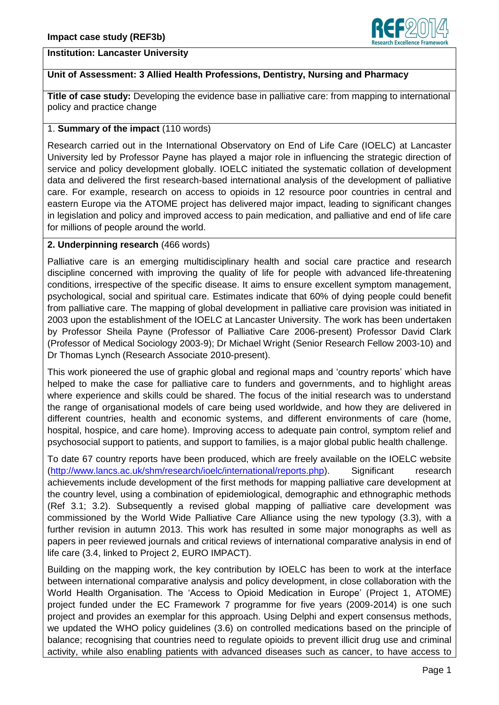

#### **Institution: Lancaster University**

## **Unit of Assessment: 3 Allied Health Professions, Dentistry, Nursing and Pharmacy**

**Title of case study:** Developing the evidence base in palliative care: from mapping to international policy and practice change

## 1. **Summary of the impact** (110 words)

Research carried out in the International Observatory on End of Life Care (IOELC) at Lancaster University led by Professor Payne has played a major role in influencing the strategic direction of service and policy development globally. IOELC initiated the systematic collation of development data and delivered the first research-based international analysis of the development of palliative care. For example, research on access to opioids in 12 resource poor countries in central and eastern Europe via the ATOME project has delivered major impact, leading to significant changes in legislation and policy and improved access to pain medication, and palliative and end of life care for millions of people around the world.

## **2. Underpinning research** (466 words)

Palliative care is an emerging multidisciplinary health and social care practice and research discipline concerned with improving the quality of life for people with advanced life-threatening conditions, irrespective of the specific disease. It aims to ensure excellent symptom management, psychological, social and spiritual care. Estimates indicate that 60% of dying people could benefit from palliative care. The mapping of global development in palliative care provision was initiated in 2003 upon the establishment of the IOELC at Lancaster University. The work has been undertaken by Professor Sheila Payne (Professor of Palliative Care 2006-present) Professor David Clark (Professor of Medical Sociology 2003-9); Dr Michael Wright (Senior Research Fellow 2003-10) and Dr Thomas Lynch (Research Associate 2010-present).

This work pioneered the use of graphic global and regional maps and 'country reports' which have helped to make the case for palliative care to funders and governments, and to highlight areas where experience and skills could be shared. The focus of the initial research was to understand the range of organisational models of care being used worldwide, and how they are delivered in different countries, health and economic systems, and different environments of care (home, hospital, hospice, and care home). Improving access to adequate pain control, symptom relief and psychosocial support to patients, and support to families, is a major global public health challenge.

To date 67 country reports have been produced, which are freely available on the IOELC website [\(http://www.lancs.ac.uk/shm/research/ioelc/international/reports.php\)](http://www.lancs.ac.uk/shm/research/ioelc/international/reports.php). Significant research achievements include development of the first methods for mapping palliative care development at the country level, using a combination of epidemiological, demographic and ethnographic methods (Ref 3.1; 3.2). Subsequently a revised global mapping of palliative care development was commissioned by the World Wide Palliative Care Alliance using the new typology (3.3), with a further revision in autumn 2013. This work has resulted in some major monographs as well as papers in peer reviewed journals and critical reviews of international comparative analysis in end of life care (3.4, linked to Project 2, EURO IMPACT).

Building on the mapping work, the key contribution by IOELC has been to work at the interface between international comparative analysis and policy development, in close collaboration with the World Health Organisation. The 'Access to Opioid Medication in Europe' (Project 1, ATOME) project funded under the EC Framework 7 programme for five years (2009-2014) is one such project and provides an exemplar for this approach. Using Delphi and expert consensus methods, we updated the WHO policy guidelines (3.6) on controlled medications based on the principle of balance; recognising that countries need to regulate opioids to prevent illicit drug use and criminal activity, while also enabling patients with advanced diseases such as cancer, to have access to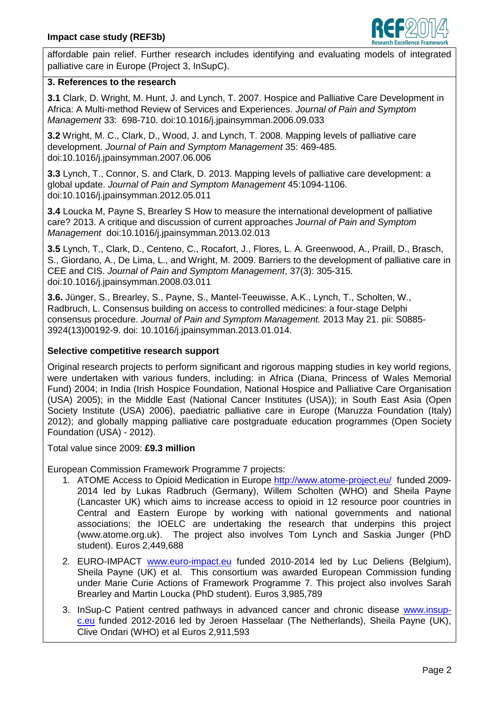

affordable pain relief. Further research includes identifying and evaluating models of integrated palliative care in Europe (Project 3, InSupC).

#### **3. References to the research**

**3.1** Clark, D. Wright, M. Hunt, J. and Lynch, T. 2007. Hospice and Palliative Care Development in Africa: A Multi-method Review of Services and Experiences. *Journal of Pain and Symptom Management* 33: 698-710. doi:10.1016/j.jpainsymman.2006.09.033

**3.2** Wright, M. C., Clark, D., Wood, J. and Lynch, T. 2008. Mapping levels of palliative care development. *Journal of Pain and Symptom Management* 35: 469-485. doi:10.1016/j.jpainsymman.2007.06.006

**3.3** Lynch, T., Connor, S. and Clark, D. 2013. Mapping levels of palliative care development: a global update. *Journal of Pain and Symptom Management* 45:1094-1106. doi:10.1016/j.jpainsymman.2012.05.011

**3.4** Loucka M, Payne S, Brearley S How to measure the international development of palliative care? 2013. A critique and discussion of current approaches *Journal of Pain and Symptom Management* doi:10.1016/j.jpainsymman.2013.02.013

**3.5** Lynch, T., Clark, D., Centeno, C., Rocafort, J., Flores, L. A. Greenwood, A., Praill, D., Brasch, S., Giordano, A., De Lima, L., and Wright, M. 2009. Barriers to the development of palliative care in CEE and CIS. *Journal of Pain and Symptom Management*, 37(3): 305-315. doi:10.1016/j.jpainsymman.2008.03.011

**3.6.** Jünger, S., Brearley, S., Payne, S., Mantel-Teeuwisse, A.K., Lynch, T., Scholten, W., Radbruch, L. Consensus building on access to controlled medicines: a four-stage Delphi consensus procedure. *Journal of Pain and Symptom Management.* 2013 May 21. pii: S0885- 3924(13)00192-9. doi: 10.1016/j.jpainsymman.2013.01.014.

### **Selective competitive research support**

Original research projects to perform significant and rigorous mapping studies in key world regions, were undertaken with various funders, including: in Africa (Diana, Princess of Wales Memorial Fund) 2004; in India (Irish Hospice Foundation, National Hospice and Palliative Care Organisation (USA) 2005); in the Middle East (National Cancer Institutes (USA)); in South East Asia (Open Society Institute (USA) 2006), paediatric palliative care in Europe (Maruzza Foundation (Italy) 2012); and globally mapping palliative care postgraduate education programmes (Open Society Foundation (USA) - 2012).

Total value since 2009: **£9.3 million**

European Commission Framework Programme 7 projects:

- 1. ATOME Access to Opioid Medication in Europe <http://www.atome-project.eu/> funded 2009-2014 led by Lukas Radbruch (Germany), Willem Scholten (WHO) and Sheila Payne (Lancaster UK) which aims to increase access to opioid in 12 resource poor countries in Central and Eastern Europe by working with national governments and national associations; the IOELC are undertaking the research that underpins this project (www.atome.org.uk). The project also involves Tom Lynch and Saskia Junger (PhD student). Euros 2,449,688
- 2. EURO-IMPACT [www.euro-impact.eu](http://www.euro-impact.eu/) funded 2010-2014 led by Luc Deliens (Belgium), Sheila Payne (UK) et al. This consortium was awarded European Commission funding under Marie Curie Actions of Framework Programme 7. This project also involves Sarah Brearley and Martin Loucka (PhD student). Euros 3,985,789
- 3. InSup-C Patient centred pathways in advanced cancer and chronic disease [www.insup](http://www.insupc.eu/)[c.eu](http://www.insupc.eu/) funded 2012-2016 led by Jeroen Hasselaar (The Netherlands), Sheila Payne (UK), Clive Ondari (WHO) et al Euros 2,911,593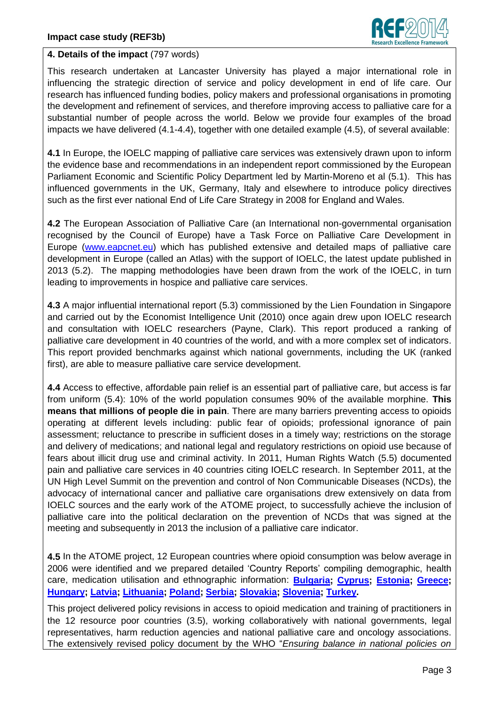

### **4. Details of the impact** (797 words)

This research undertaken at Lancaster University has played a major international role in influencing the strategic direction of service and policy development in end of life care. Our research has influenced funding bodies, policy makers and professional organisations in promoting the development and refinement of services, and therefore improving access to palliative care for a substantial number of people across the world. Below we provide four examples of the broad impacts we have delivered (4.1-4.4), together with one detailed example (4.5), of several available:

**4.1** In Europe, the IOELC mapping of palliative care services was extensively drawn upon to inform the evidence base and recommendations in an independent report commissioned by the European Parliament Economic and Scientific Policy Department led by Martin-Moreno et al (5.1). This has influenced governments in the UK, Germany, Italy and elsewhere to introduce policy directives such as the first ever national End of Life Care Strategy in 2008 for England and Wales.

**4.2** The European Association of Palliative Care (an International non-governmental organisation recognised by the Council of Europe) have a Task Force on Palliative Care Development in Europe [\(www.eapcnet.eu\)](http://www.eapcnet.eu/) which has published extensive and detailed maps of palliative care development in Europe (called an Atlas) with the support of IOELC, the latest update published in 2013 (5.2). The mapping methodologies have been drawn from the work of the IOELC, in turn leading to improvements in hospice and palliative care services.

**4.3** A major influential international report (5.3) commissioned by the Lien Foundation in Singapore and carried out by the Economist Intelligence Unit (2010) once again drew upon IOELC research and consultation with IOELC researchers (Payne, Clark). This report produced a ranking of palliative care development in 40 countries of the world, and with a more complex set of indicators. This report provided benchmarks against which national governments, including the UK (ranked first), are able to measure palliative care service development.

**4.4** Access to effective, affordable pain relief is an essential part of palliative care, but access is far from uniform (5.4): 10% of the world population consumes 90% of the available morphine. **This means that millions of people die in pain**. There are many barriers preventing access to opioids operating at different levels including: public fear of opioids; professional ignorance of pain assessment; reluctance to prescribe in sufficient doses in a timely way; restrictions on the storage and delivery of medications; and national legal and regulatory restrictions on opioid use because of fears about illicit drug use and criminal activity. In 2011, Human Rights Watch (5.5) documented pain and palliative care services in 40 countries citing IOELC research. In September 2011, at the UN High Level Summit on the prevention and control of Non Communicable Diseases (NCDs), the advocacy of international cancer and palliative care organisations drew extensively on data from IOELC sources and the early work of the ATOME project, to successfully achieve the inclusion of palliative care into the political declaration on the prevention of NCDs that was signed at the meeting and subsequently in 2013 the inclusion of a palliative care indicator.

**4.5** In the ATOME project, 12 European countries where opioid consumption was below average in 2006 were identified and we prepared detailed 'Country Reports' compiling demographic, health care, medication utilisation and ethnographic information: **[Bulgaria;](http://www.atome-project.eu/country-reports/country.php?country=9) [Cyprus;](http://www.atome-project.eu/country-reports/country.php?country=12) [Estonia;](http://www.atome-project.eu/country-reports/country.php?country=1) [Greece;](http://www.atome-project.eu/country-reports/country.php?country=10) [Hungary;](http://www.atome-project.eu/country-reports/country.php?country=6) [Latvia;](http://www.atome-project.eu/country-reports/country.php?country=2) [Lithuania;](http://www.atome-project.eu/country-reports/country.php?country=3) [Poland;](http://www.atome-project.eu/country-reports/country.php?country=4) [Serbia;](http://www.atome-project.eu/country-reports/country.php?country=8) [Slovakia;](http://www.atome-project.eu/country-reports/country.php?country=5) [Slovenia;](http://www.atome-project.eu/country-reports/country.php?country=7) [Turkey.](http://www.atome-project.eu/country-reports/country.php?country=11)**

This project delivered policy revisions in access to opioid medication and training of practitioners in the 12 resource poor countries (3.5), working collaboratively with national governments, legal representatives, harm reduction agencies and national palliative care and oncology associations. The extensively revised policy document by the WHO "*Ensuring balance in national policies on*